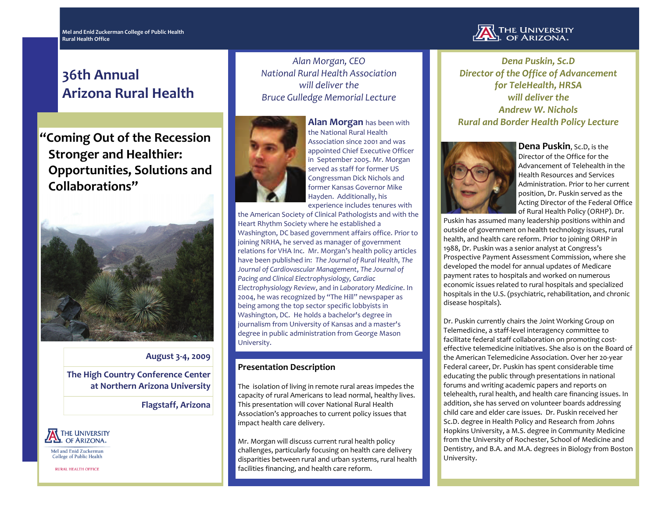# **36th Annual Arizona Rural Health**

**"Coming Out of the Recession Stronger and Healthier: Opportunities, Solutions and Collaborations"**



#### **August 3‐4, 2009**

**The High Country Conference Center at Northern Arizona University**

**Flagstaff, Arizona**



Mel and Enid Zuckerman College of Public Health

**RURAL HEALTH OFFICE** 

*Alan Morgan, CEO National Rural Health Association will deliver theBruce Gulledge Memorial Lecture*



**Alan Morgan** has been with the National Rural HealthAssociation since 2001 and was appointed Chief Executive Officer in September 2005. Mr. Morgan served as staff for former US Congressman Dick Nichols and former Kansas Governor MikeHayden. Additionally, his experience includes tenures with

the American Society of Clinical Pathologists and with the Heart Rhythm Society where he established <sup>a</sup> Washington, DC based government affairs office. Prior to joining NRHA, he served as manager of government relations for VHA Inc. Mr. Morgan's health policy articles have been published in: *The Journal of Rural Health*, *The Journal of Cardiovascular Management*, *The Journal of Pacing and Clinical Electrophysiology, Cardiac Electrophysiology Review*, and in *Laboratory Medicine*. In 2004, he was recognized by "The Hill" newspaper as being among the top sector specific lobbyists in Washington, DC. He holds <sup>a</sup> bachelor's degree in journalism from University of Kansas and <sup>a</sup> master's degree in public administration from George Mason University.

## **Presentation Description**

The isolation of living in remote rural areas impedes the capacity of rural Americans to lead normal, healthy lives. This presentation will cover National Rural Health Association's approaches to current policy issues that impact health care delivery.

Mr. Morgan will discuss current rural health policy challenges, particularly focusing on health care delivery disparities between rural and urban systems, rural health facilities financing, and health care reform.



*Dena Puskin, Sc.D Director of the Office of Advancement for TeleHealth, HRSA will deliver theAndrew W. Nichols Rural and Border Health Policy Lecture*



**Dena Puskin**, Sc.D, is the Director of the Office for the Advancement of Telehealth in the Health Resources and Services Administration. Prior to her current position, Dr. Puskin served as the Acting Director of the Federal Office of Rural Health Policy (ORHP). Dr.

Puskin has assumed many leadership positions within and outside of government on health technology issues, rural health, and health care reform. Prior to joining ORHP in 1988, Dr. Puskin was <sup>a</sup> senior analyst at Congress's Prospective Payment Assessment Commission, where she developed the model for annual updates of Medicare paymen<sup>t</sup> rates to hospitals and worked on numerous economic issues related to rural hospitals and specialized hospitals in the U.S. (psychiatric, rehabilitation, and chronic disease hospitals).

Dr. Puskin currently chairs the Joint Working Group on Telemedicine, <sup>a</sup> staff‐level interagency committee to facilitate federal staff collaboration on promoting cost‐ effective telemedicine initiatives. She also is on the Board of the American Telemedicine Association. Over her <sup>20</sup>‐year Federal career, Dr. Puskin has spen<sup>t</sup> considerable time educating the public through presentations in national forums and writing academic papers and reports on telehealth, rural health, and health care financing issues. In addition, she has served on volunteer boards addressing child care and elder care issues. Dr. Puskin received her Sc.D. degree in Health Policy and Research from Johns Hopkins University, <sup>a</sup> M.S. degree in Community Medicine from the University of Rochester, School of Medicine and Dentistry, and B.A. and M.A. degrees in Biology from Boston University.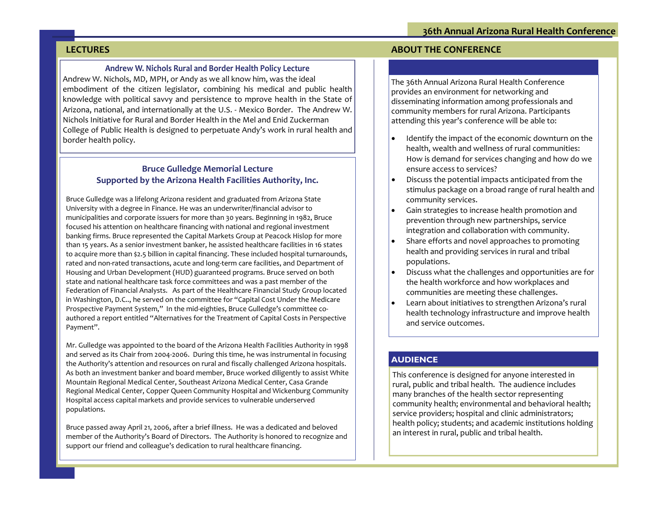# **LECTURES**

#### **Andrew W. Nichols Rural and Border Health Policy Lecture**

Andrew W. Nichols, MD, MPH, or Andy as we all know him, was the ideal embodiment of the citizen legislator, combining his medical and public health knowledge with political savvy and persistence to mprove health in the State of Arizona, national, and internationally at the U.S. ‐ Mexico Border. The Andrew W. Nichols Initiative for Rural and Border Health in the Mel and Enid Zuckerman College of Public Health is designed to perpetuate Andy's work in rural health and border health policy.

## **Bruce Gulledge Memorial Lecture Supported by the Arizona Health Facilities Authority, Inc.**

Bruce Gulledge was <sup>a</sup> lifelong Arizona resident and graduated from Arizona State University with <sup>a</sup> degree in Finance. He was an underwriter/financial advisor to municipalities and corporate issuers for more than 30 years. Beginning in 1982, Bruce focused his attention on healthcare financing with national and regional investment banking firms. Bruce represented the Capital Markets Group at Peacock Hislop for more than 15 years. As <sup>a</sup> senior investment banker, he assisted healthcare facilities in 16 states to acquire more than \$2.5 billion in capital financing. These included hospital turnarounds, rated and non‐rated transactions, acute and long‐term care facilities, and Department of Housing and Urban Development (HUD) guaranteed programs. Bruce served on both state and national healthcare task force committees and was <sup>a</sup> pas<sup>t</sup> member of the Federation of Financial Analysts. As par<sup>t</sup> of the Healthcare Financial Study Group located in Washington, D.C.., he served on the committee for "Capital Cost Under the Medicare Prospective Payment System," In the mid-eighties, Bruce Gulledge's committee coauthored <sup>a</sup> repor<sup>t</sup> entitled "Alternatives for the Treatment of Capital Costs in Perspective Payment".

Mr. Gulledge was appointed to the board of the Arizona Health Facilities Authority in 1998 and served as its Chair from 2004‐2006. During this time, he was instrumental in focusing the Authority's attention and resources on rural and fiscally challenged Arizona hospitals. As both an investment banker and board member, Bruce worked diligently to assist White Mountain Regional Medical Center, Southeast Arizona Medical Center, Casa Grande Regional Medical Center, Copper Queen Community Hospital and Wickenburg Community Hospital access capital markets and provide services to vulnerable underserved populations.

Bruce passed away April 21, 2006, after <sup>a</sup> brief illness. He was <sup>a</sup> dedicated and beloved member of the Authority's Board of Directors. The Authority is honored to recognize and suppor<sup>t</sup> our friend and colleague's dedication to rural healthcare financing.

## **ABOUT THE CONFERENCE**

The 36th Annual Arizona Rural Health Conference provides an environment for networking and disseminating information among professionals and community members for rural Arizona. Participants attending this year's conference will be able to:

- $\bullet$  Identify the impact of the economic downturn on the health, wealth and wellness of rural communities: How is demand for services changing and how do we ensure access to services?
- $\bullet$  Discuss the potential impacts anticipated from the stimulus package on <sup>a</sup> broad range of rural health and community services.
- $\bullet$  Gain strategies to increase health promotion and prevention through new partnerships, service integration and collaboration with community.
- $\bullet$  Share efforts and novel approaches to promoting health and providing services in rural and tribal populations.
- $\bullet$  Discuss what the challenges and opportunities are for the health workforce and ho w workplaces and communities are meeting these challenges.
- $\bullet$  Learn about initiatives to strengthen Arizona's rural health technology infrastructure and improve health and service outcomes.

# **AUDIENCE**

This conference is designed for anyone interested in rural, public and tribal health. The audience includes many branches of the health sector representing community health; environmental and behavioral health; service providers; hospital and clinic administrators; health policy; students; and academic institutions holding an interest in rural, public and tribal health.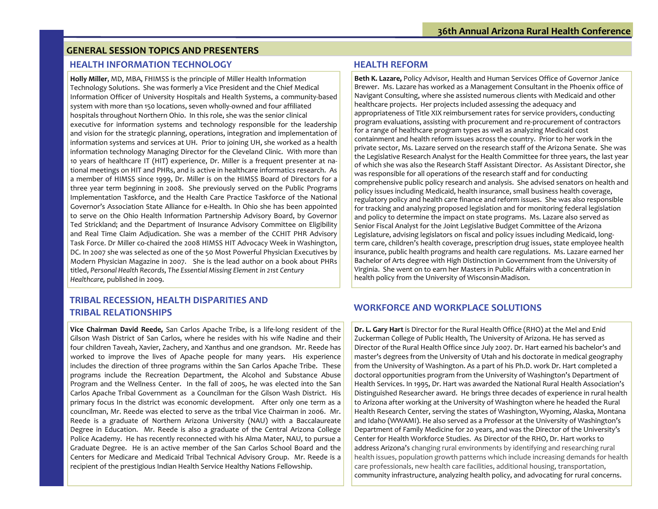#### **GENERAL SESSION TOPICS AND PRESENTERS**

#### **HEALTH INFORMATION**

**Holly Miller**, MD, MBA, FHIMSS is the principle of Miller Health Information Technology Solutions. She was formerly <sup>a</sup> Vice President and the Chief Medical Information Officer of University Hospitals and Health Systems, <sup>a</sup> community‐based system with more than 150 locations, seven wholly‐owned and four affiliated hospitals throughout Northern Ohio. In this role, she was the senior clinical executive for information systems and technology responsible for the leadership and vision for the strategic planning, operations, integration and implementation of information systems and services at UH. Prior to joining UH, she worked as <sup>a</sup> health information technology Managing Director for the Cleveland Clinic. With more than 10 years of healthcare IT (HIT) experience, Dr. Miller is <sup>a</sup> frequent presenter at na‐ tional meetings on HIT and PHRs, and is active in healthcare informatics research. As a member of HIMSS since 1999, Dr. Miller is on the HIMSS Board of Directors for <sup>a</sup> three year term beginning in 2008. She previously served on the Public Programs Implementation Taskforce, and the Health Care Practice Taskforce of the National Governor's Association State Alliance for <sup>e</sup>‐Health. In Ohio she has been appointed to serve on the Ohio Health Information Partnership Advisory Board, by Governor Ted Strickland; and the Department of Insurance Advisory Committee on Eligibility and Real Time Claim Adjudication. She was <sup>a</sup> member of the CCHIT PHR Advisory Task Force. Dr Miller co‐chaired the 2008 HIMSS HIT Advocacy Week in Washington, DC. In 2007 she was selected as one of the 50 Most Powerful Physician Executives by Modern Physician Magazine in 2007. She is the lead author on <sup>a</sup> book about PHRs titled, *Personal Health Records*, *The Essential Missing Element in 21st Century Healthcare,* published in 2009.

#### **HEALTH REFORM**

**Beth K. Lazare,** Policy Advisor, Health and Human Services Office of Governor Janice Brewer. Ms. Lazare has worked as <sup>a</sup> Management Consultant in the Phoenix office of Navigant Consulting, where she assisted numerous clients with Medicaid and other healthcare projects. Her projects included assessing the adequacy and appropriateness of Title XIX reimbursement rates for service providers, conducting program evaluations, assisting with procuremen<sup>t</sup> and re‐procuremen<sup>t</sup> of contractors for a range of healthcare program types as well as analyzing Medicaid cost containment and health reform issues across the country. Prior to her work in the private sector, Ms. Lazare served on the research staff of the Arizona Senate. She was the Legislative Research Analyst for the Health Committee for three years, the last year of which she was also the Research Staff Assistant Director. As Assistant Director, she was responsible for all operations of the research staff and for conducting comprehensive public policy research and analysis. She advised senators on health and policy issues including Medicaid, health insurance, small business health coverage, regulatory policy and health care finance and reform issues. She was also responsible for tracking and analyzing proposed legislation and for monitoring federal legislation and policy to determine the impact on state programs. Ms. Lazare also served as Senior Fiscal Analyst for the Joint Legislative Budget Committee of the Arizona Legislature, advising legislators on fiscal and policy issues including Medicaid, long‐ term care, children's health coverage, prescription drug issues, state employee health insurance, public health programs and health care regulations. Ms. Lazare earned her Bachelor of Arts degree with High Distinction in Government from the University of Virginia. She went on to earn her Masters in Public Affairs with <sup>a</sup> concentration in health policy from the University of Wisconsin‐Madison.

# **TRIBAL RECESSION, HEALTH DISPARITIES AND TRIBAL RELATIONSHIPS**

**Vice Chairman David Reede,** San Carlos Apache Tribe, is <sup>a</sup> life‐long resident of the Gilson Wash District of San Carlos, where he resides with his wife Nadine and their four children Taveah, Xavier, Zachery, and Xanthus and one grandson. Mr. Reede has worked to improve the lives of Apache people for many years. His experience includes the direction of three programs within the San Carlos Apache Tribe. These programs include the Recreation Department, the Alcohol and Substance Abuse Program and the Wellness Center. In the fall of 2005, he was elected into the San Carlos Apache Tribal Government as <sup>a</sup> Councilman for the Gilson Wash District. His primary focus In the district was economic development. After only one term as <sup>a</sup> councilman, Mr. Reede was elected to serve as the tribal Vice Chairman in 2006. Mr. Reede is <sup>a</sup> graduate of Northern Arizona University (NAU) with <sup>a</sup> Baccalaureate Degree in Education. Mr. Reede is also <sup>a</sup> graduate of the Central Arizona College Police Academy. He has recently reconnected with his Alma Mater, NAU, to pursue <sup>a</sup> Graduate Degree. He is an active member of the San Carlos School Board and the Centers for Medicare and Medicaid Tribal Technical Advisory Group. Mr. Reede is <sup>a</sup> recipient of the prestigious Indian Health Service Healthy Nations Fellowship.

# **WORKFORCE AND WORKPLACE SOLUTIONS**

**Dr. L. Gary Hart** is Director for the Rural Health Office (RHO) at the Mel and Enid Zuckerman College of Public Health, The University of Arizona. He has served as Director of the Rural Health Office since July 2007. Dr. Hart earned his bachelor's and master's degrees from the University of Utah and his doctorate in medical geography from the University of Washington. As <sup>a</sup> par<sup>t</sup> of his Ph.D. work Dr. Hart completed <sup>a</sup> doctoral opportunities program from the University of Washington's Department of Health Services. In 1995, Dr. Hart was awarded the National Rural Health Association's Distinguished Researcher award. He brings three decades of experience in rural health to Arizona after working at the University of Washington where he headed the Rural Health Research Center, serving the states of Washington, Wyoming, Alaska, Montana and Idaho (WWAMI). He also served as <sup>a</sup> Professor at the University of Washington's Department of Family Medicine for <sup>20</sup> years, and was the Director of the University's Center for Health Workforce Studies. As Director of the RHO, Dr. Hart works to address Arizona's changing rural environments by identifying and researching rural health issues, population growth patterns which include increasing demands for health care professionals, new health care facilities, additional housing, transportation, community infrastructure, analyzing health policy, and advocating for rural concerns.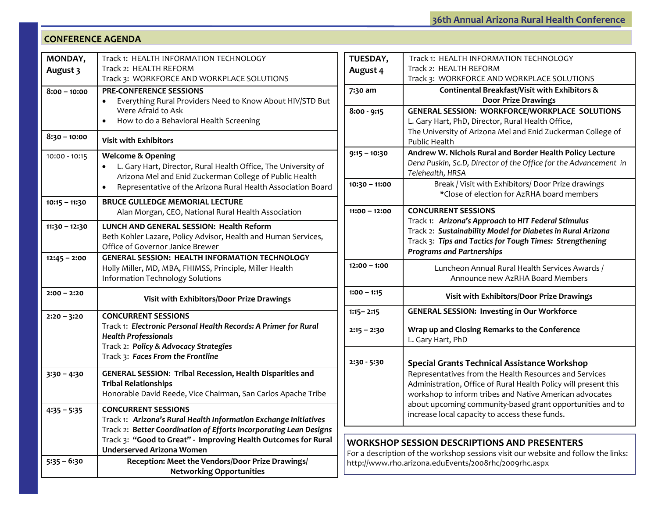#### **CONFERENCE AGENDA**

| MONDAY,         | Track 1: HEALTH INFORMATION TECHNOLOGY                                                             |  |  |  |
|-----------------|----------------------------------------------------------------------------------------------------|--|--|--|
| August 3        | Track 2: HEALTH REFORM<br>Track 3: WORKFORCE AND WORKPLACE SOLUTIONS                               |  |  |  |
|                 | <b>PRE-CONFERENCE SESSIONS</b>                                                                     |  |  |  |
| $8:00 - 10:00$  | Everything Rural Providers Need to Know About HIV/STD But                                          |  |  |  |
|                 | Were Afraid to Ask                                                                                 |  |  |  |
|                 | How to do a Behavioral Health Screening<br>٠                                                       |  |  |  |
| $8:30 - 10:00$  | <b>Visit with Exhibitors</b>                                                                       |  |  |  |
| 10:00 - 10:15   | <b>Welcome &amp; Opening</b>                                                                       |  |  |  |
|                 | L. Gary Hart, Director, Rural Health Office, The University of                                     |  |  |  |
|                 | Arizona Mel and Enid Zuckerman College of Public Health                                            |  |  |  |
|                 | Representative of the Arizona Rural Health Association Board                                       |  |  |  |
| $10:15 - 11:30$ | <b>BRUCE GULLEDGE MEMORIAL LECTURE</b>                                                             |  |  |  |
|                 | Alan Morgan, CEO, National Rural Health Association                                                |  |  |  |
| $11:30 - 12:30$ | LUNCH AND GENERAL SESSION: Health Reform                                                           |  |  |  |
|                 | Beth Kohler Lazare, Policy Advisor, Health and Human Services,                                     |  |  |  |
|                 | Office of Governor Janice Brewer                                                                   |  |  |  |
| $12:45 - 2:00$  | <b>GENERAL SESSION: HEALTH INFORMATION TECHNOLOGY</b>                                              |  |  |  |
|                 | Holly Miller, MD, MBA, FHIMSS, Principle, Miller Health<br><b>Information Technology Solutions</b> |  |  |  |
|                 |                                                                                                    |  |  |  |
| $2:00 - 2:20$   | Visit with Exhibitors/Door Prize Drawings                                                          |  |  |  |
| $2:20 - 3:20$   | <b>CONCURRENT SESSIONS</b>                                                                         |  |  |  |
|                 | Track 1: Electronic Personal Health Records: A Primer for Rural                                    |  |  |  |
|                 | <b>Health Professionals</b>                                                                        |  |  |  |
|                 | Track 2: Policy & Advocacy Strategies<br>Track 3: Faces From the Frontline                         |  |  |  |
|                 |                                                                                                    |  |  |  |
| $3:30 - 4:30$   | <b>GENERAL SESSION: Tribal Recession, Health Disparities and</b>                                   |  |  |  |
|                 | <b>Tribal Relationships</b>                                                                        |  |  |  |
|                 | Honorable David Reede, Vice Chairman, San Carlos Apache Tribe                                      |  |  |  |
| $4:35 - 5:35$   | <b>CONCURRENT SESSIONS</b>                                                                         |  |  |  |
|                 | Track 1: Arizona's Rural Health Information Exchange Initiatives                                   |  |  |  |
|                 | Track 2: Better Coordination of Efforts Incorporating Lean Designs                                 |  |  |  |
|                 | Track 3: "Good to Great" - Improving Health Outcomes for Rural<br><b>Underserved Arizona Women</b> |  |  |  |
| $5:35 - 6:30$   | Reception: Meet the Vendors/Door Prize Drawings/                                                   |  |  |  |
|                 | <b>Networking Opportunities</b>                                                                    |  |  |  |
|                 |                                                                                                    |  |  |  |

| <b>TUESDAY,</b> | Track 1: HEALTH INFORMATION TECHNOLOGY                           |  |  |
|-----------------|------------------------------------------------------------------|--|--|
| August 4        | Track 2: HEALTH REFORM                                           |  |  |
|                 | Track 3: WORKFORCE AND WORKPLACE SOLUTIONS                       |  |  |
| 7:30 am         | Continental Breakfast/Visit with Exhibitors &                    |  |  |
|                 | <b>Door Prize Drawings</b>                                       |  |  |
| $8:00 - 9:15$   | <b>GENERAL SESSION: WORKFORCE/WORKPLACE SOLUTIONS</b>            |  |  |
|                 | L. Gary Hart, PhD, Director, Rural Health Office,                |  |  |
|                 | The University of Arizona Mel and Enid Zuckerman College of      |  |  |
|                 | <b>Public Health</b>                                             |  |  |
| $9:15 - 10:30$  | Andrew W. Nichols Rural and Border Health Policy Lecture         |  |  |
|                 | Dena Puskin, Sc.D, Director of the Office for the Advancement in |  |  |
|                 | Telehealth, HRSA                                                 |  |  |
| $10:30 - 11:00$ | Break / Visit with Exhibitors/ Door Prize drawings               |  |  |
|                 | *Close of election for AzRHA board members                       |  |  |
| $11:00 - 12:00$ | <b>CONCURRENT SESSIONS</b>                                       |  |  |
|                 | Track 1: Arizona's Approach to HIT Federal Stimulus              |  |  |
|                 | Track 2: Sustainability Model for Diabetes in Rural Arizona      |  |  |
|                 | Track 3: Tips and Tactics for Tough Times: Strengthening         |  |  |
|                 | <b>Programs and Partnerships</b>                                 |  |  |
| $12:00 - 1:00$  | Luncheon Annual Rural Health Services Awards /                   |  |  |
|                 | Announce new AzRHA Board Members                                 |  |  |
| $1:00 - 1:15$   |                                                                  |  |  |
|                 | Visit with Exhibitors/Door Prize Drawings                        |  |  |
| $1:15 - 2:15$   | <b>GENERAL SESSION: Investing in Our Workforce</b>               |  |  |
|                 |                                                                  |  |  |
| $2:15 - 2:30$   | Wrap up and Closing Remarks to the Conference                    |  |  |
|                 | L. Gary Hart, PhD                                                |  |  |
|                 |                                                                  |  |  |
| 2:30 - 5:30     | <b>Special Grants Technical Assistance Workshop</b>              |  |  |
|                 | Representatives from the Health Resources and Services           |  |  |
|                 | Administration, Office of Rural Health Policy will present this  |  |  |
|                 | workshop to inform tribes and Native American advocates          |  |  |
|                 | about upcoming community-based grant opportunities and to        |  |  |
|                 | increase local capacity to access these funds.                   |  |  |
|                 |                                                                  |  |  |

# **WORKSHOP SESSION DESCRIPTIONS AND PRESENTERS**

For a description of the workshop sessions visit our website and follow the links: http://www.rho.arizona.eduEvents/2008rhc/2009rhc.aspx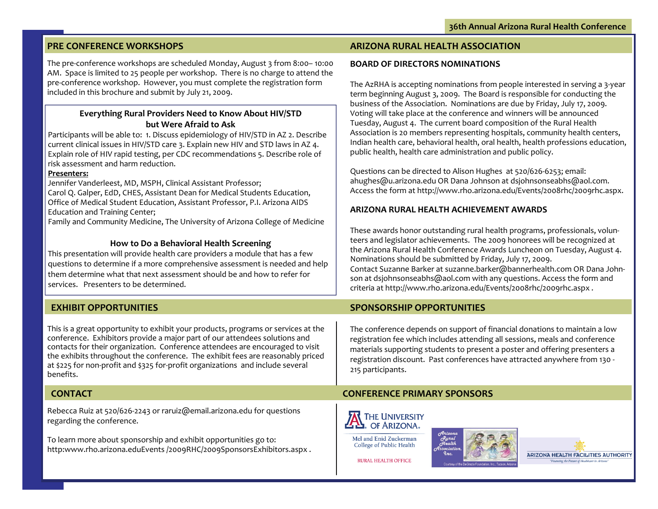# **PRE CONFERENCE WORKSHOPS**

The pre‐conference workshops are scheduled Monday, August 3 from 8:00– 10:00 AM. Space is limited to 25 people per workshop. There is no charge to attend the pre‐conference workshop. However, you must complete the registration form included in this brochure and submit by July 21, 2009.

## **Everything Rural Providers Need to Know About HIV/STD but Were Afraid to Ask**

Participants will be able to: 1. Discuss epidemiology of HIV/STD in AZ 2. Describe current clinical issues in HIV/STD care 3. Explain new HIV and STD laws in AZ 4. Explain role of HIV rapid testing, per CDC recommendations 5. Describe role of risk assessment and harm reduction.

#### **Presenters:**

Jennifer Vanderleest, MD, MSPH, Clinical Assistant Professor; Carol Q. Galper, EdD, CHES, Assistant Dean for Medical Students Education, Office of Medical Student Education, Assistant Professor, P.I. Arizona AIDS Education and Training Center;

Family and Community Medicine, The University of Arizona College of Medicine

### **How to Do <sup>a</sup> Behavioral Health Screening**

This presentation will provide health care providers <sup>a</sup> module that has <sup>a</sup> few questions to determine if <sup>a</sup> more comprehensive assessment is needed and help them determine what that next assessment should be and how to refer for services. Presenters to be determined.

## **EXHIBIT OPPORTUNITIES SPONSORSHIP**

This is <sup>a</sup> great opportunity to exhibit your products, programs or services at the conference. Exhibitors provide <sup>a</sup> major par<sup>t</sup> of our attendees solutions and contacts for their organization. Conference attendees are encouraged to visit the exhibits throughout the conference. The exhibit fees are reasonably priced at \$225 for non‐profit and \$325 for‐profit organizations and include several benefits.

# **CONTACT**

Rebecca Ruiz at 520/626‐2243 or raruiz@email.arizona.edu for questions regarding the conference.

To learn more about sponsorship and exhibit opportunities go to: http:www.rho.arizona.eduEvents /2009RHC/2009SponsorsExhibitors.aspx .

## **ARIZONA RURAL HEALTH ASSOCIATION**

#### **BOARD OF DIRECTORS NOMINATIONS**

The AzRHA is accepting nominations from people interested in serving <sup>a</sup> 3‐year term beginning August 3, 2009. The Board is responsible for conducting the business of the Association. Nominations are due by Friday, July 17, 2009. Voting will take place at the conference and winners will be announced Tuesday, August 4. The current board composition of the Rural Health Association is 20 members representing hospitals, community health centers, Indian health care, behavioral health, oral health, health professions education, public health, health care administration and public policy.

Questions can be directed to Alison Hughes at 520/626‐6253; email: ahughes@u.arizona.edu OR Dana Johnson at dsjohnsonseabhs@aol.com. Access the form at http://www.rho.arizona.edu/Events/2008rhc/2009rhc.aspx.

## **ARIZONA RURAL HEALTH ACHIEVEMENT AWARDS**

These awards honor outstanding rural health programs, professionals, volun‐ teers and legislator achievements. The 2009 honorees will be recognized at the Arizona Rural Health Conference Awards Luncheon on Tuesday, August 4. Nominations should be submitted by Friday, July 17, 2009. Contact Suzanne Barker at suzanne.barker@bannerhealth.com OR Dana John‐ son at dsjohnsonseabhs@aol.com with any questions. Access the form and criteria at http://www.rho.arizona.edu/Events/2008rhc/2009rhc.aspx .

# **SPONSORSHIP OPPORTUNITIES**

The conference depends on suppor<sup>t</sup> of financial donations to maintain <sup>a</sup> low registration fee which includes attending all sessions, meals and conference materials supporting students to presen<sup>t</sup> <sup>a</sup> poster and offering presenters <sup>a</sup> registration discount. Past conferences have attracted anywhere from 130 ‐ 215 participants.

the Future of Healthare in Art

# **CONFERENCE PRIMARY SPONSORS**



**RURAL HEALTH OFFICE**